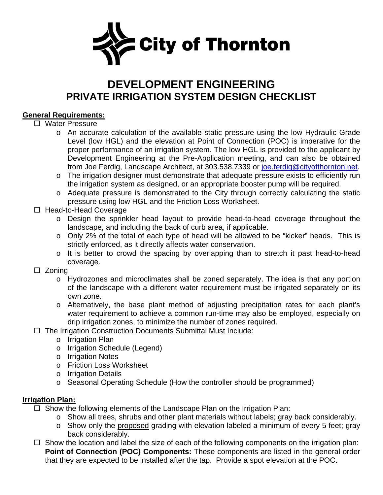

# **DEVELOPMENT ENGINEERING PRIVATE IRRIGATION SYSTEM DESIGN CHECKLIST**

## **General Requirements:**

### □ Water Pressure

- o An accurate calculation of the available static pressure using the low Hydraulic Grade Level (low HGL) and the elevation at Point of Connection (POC) is imperative for the proper performance of an irrigation system. The low HGL is provided to the applicant by Development Engineering at the Pre-Application meeting, and can also be obtained from Joe Ferdig, Landscape Architect, at 303.538.7339 or [joe.ferdig@cityofthornton.net.](mailto:joe.ferdig@cityofthornton.net)
- o The irrigation designer must demonstrate that adequate pressure exists to efficiently run the irrigation system as designed, or an appropriate booster pump will be required.
- o Adequate pressure is demonstrated to the City through correctly calculating the static pressure using low HGL and the Friction Loss Worksheet.
- $\Box$  Head-to-Head Coverage
	- o Design the sprinkler head layout to provide head-to-head coverage throughout the landscape, and including the back of curb area, if applicable.
	- o Only 2% of the total of each type of head will be allowed to be "kicker" heads. This is strictly enforced, as it directly affects water conservation.
	- o It is better to crowd the spacing by overlapping than to stretch it past head-to-head coverage.
- $\square$  Zoning
	- o Hydrozones and microclimates shall be zoned separately. The idea is that any portion of the landscape with a different water requirement must be irrigated separately on its own zone.
	- o Alternatively, the base plant method of adjusting precipitation rates for each plant's water requirement to achieve a common run-time may also be employed, especially on drip irrigation zones, to minimize the number of zones required.
- $\Box$  The Irrigation Construction Documents Submittal Must Include:
	- o Irrigation Plan
	- o Irrigation Schedule (Legend)
	- o Irrigation Notes
	- o Friction Loss Worksheet
	- o Irrigation Details
	- o Seasonal Operating Schedule (How the controller should be programmed)

### **Irrigation Plan:**

- $\Box$  Show the following elements of the Landscape Plan on the Irrigation Plan:
	- o Show all trees, shrubs and other plant materials without labels; gray back considerably.
	- o Show only the proposed grading with elevation labeled a minimum of every 5 feet; gray back considerably.
- $\Box$  Show the location and label the size of each of the following components on the irrigation plan: **Point of Connection (POC) Components:** These components are listed in the general order that they are expected to be installed after the tap. Provide a spot elevation at the POC.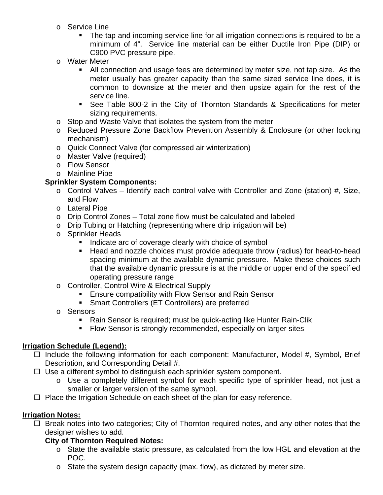- o Service Line
	- The tap and incoming service line for all irrigation connections is required to be a minimum of 4". Service line material can be either Ductile Iron Pipe (DIP) or C900 PVC pressure pipe.
- o Water Meter
	- All connection and usage fees are determined by meter size, not tap size. As the meter usually has greater capacity than the same sized service line does, it is common to downsize at the meter and then upsize again for the rest of the service line.
	- See Table 800-2 in the City of Thornton Standards & Specifications for meter sizing requirements.
- o Stop and Waste Valve that isolates the system from the meter
- o Reduced Pressure Zone Backflow Prevention Assembly & Enclosure (or other locking mechanism)
- o Quick Connect Valve (for compressed air winterization)
- o Master Valve (required)
- o Flow Sensor
- o Mainline Pipe

# **Sprinkler System Components:**

- $\circ$  Control Valves Identify each control valve with Controller and Zone (station) #, Size, and Flow
- o Lateral Pipe
- o Drip Control Zones Total zone flow must be calculated and labeled
- o Drip Tubing or Hatching (representing where drip irrigation will be)
- o Sprinkler Heads
	- Indicate arc of coverage clearly with choice of symbol
	- Head and nozzle choices must provide adequate throw (radius) for head-to-head spacing minimum at the available dynamic pressure. Make these choices such that the available dynamic pressure is at the middle or upper end of the specified operating pressure range
- o Controller, Control Wire & Electrical Supply
	- **Ensure compatibility with Flow Sensor and Rain Sensor**
	- **Smart Controllers (ET Controllers) are preferred**
- o Sensors
	- Rain Sensor is required; must be quick-acting like Hunter Rain-Clik
	- Flow Sensor is strongly recommended, especially on larger sites

# **Irrigation Schedule (Legend):**

- $\Box$  Include the following information for each component: Manufacturer, Model #, Symbol, Brief Description, and Corresponding Detail #.
- $\Box$  Use a different symbol to distinguish each sprinkler system component.
	- o Use a completely different symbol for each specific type of sprinkler head, not just a smaller or larger version of the same symbol.
- $\Box$  Place the Irrigation Schedule on each sheet of the plan for easy reference.

# **Irrigation Notes:**

 $\Box$  Break notes into two categories; City of Thornton required notes, and any other notes that the designer wishes to add.

# **City of Thornton Required Notes:**

- o State the available static pressure, as calculated from the low HGL and elevation at the POC.
- o State the system design capacity (max. flow), as dictated by meter size.